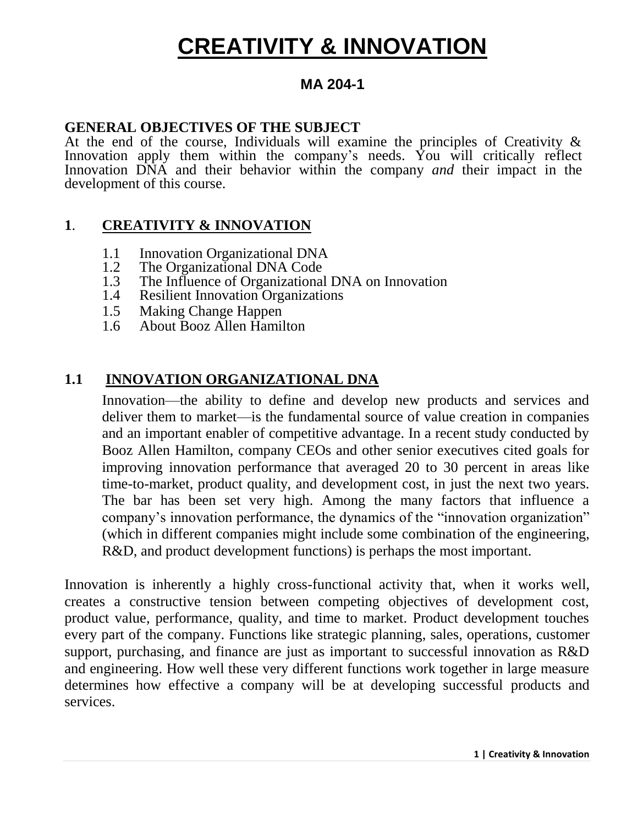### **MA 204-1**

#### **GENERAL OBJECTIVES OF THE SUBJECT**

At the end of the course, Individuals will examine the principles of Creativity  $\&$ Innovation apply them within the company's needs. You will critically reflect Innovation DNA and their behavior within the company *and* their impact in the development of this course.

#### **1**. **CREATIVITY & INNOVATION**

- 1.1 Innovation Organizational DNA<br>1.2 The Organizational DNA Code
- 1.2 The Organizational DNA Code<br>1.3 The Influence of Organizational
- The Influence of Organizational DNA on Innovation
- 1.4 Resilient Innovation Organizations
- 1.5 Making Change Happen
- 1.6 About Booz Allen Hamilton

### **1.1 INNOVATION ORGANIZATIONAL DNA**

Innovation—the ability to define and develop new products and services and deliver them to market—is the fundamental source of value creation in companies and an important enabler of competitive advantage. In a recent study conducted by Booz Allen Hamilton, company CEOs and other senior executives cited goals for improving innovation performance that averaged 20 to 30 percent in areas like time-to-market, product quality, and development cost, in just the next two years. The bar has been set very high. Among the many factors that influence a company's innovation performance, the dynamics of the "innovation organization" (which in different companies might include some combination of the engineering, R&D, and product development functions) is perhaps the most important.

Innovation is inherently a highly cross-functional activity that, when it works well, creates a constructive tension between competing objectives of development cost, product value, performance, quality, and time to market. Product development touches every part of the company. Functions like strategic planning, sales, operations, customer support, purchasing, and finance are just as important to successful innovation as R&D and engineering. How well these very different functions work together in large measure determines how effective a company will be at developing successful products and services.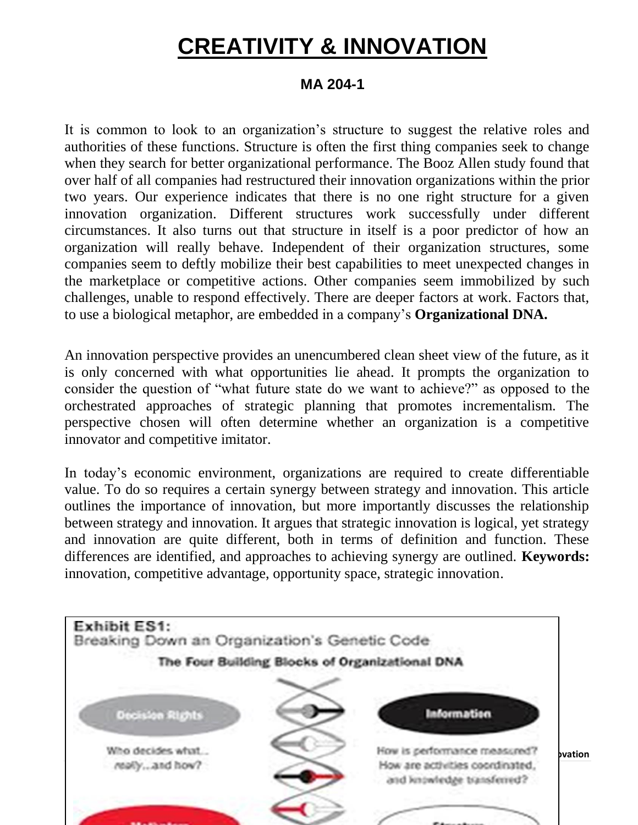### **MA 204-1**

It is common to look to an organization's structure to suggest the relative roles and authorities of these functions. Structure is often the first thing companies seek to change when they search for better organizational performance. The Booz Allen study found that over half of all companies had restructured their innovation organizations within the prior two years. Our experience indicates that there is no one right structure for a given innovation organization. Different structures work successfully under different circumstances. It also turns out that structure in itself is a poor predictor of how an organization will really behave. Independent of their organization structures, some companies seem to deftly mobilize their best capabilities to meet unexpected changes in the marketplace or competitive actions. Other companies seem immobilized by such challenges, unable to respond effectively. There are deeper factors at work. Factors that, to use a biological metaphor, are embedded in a company's **Organizational DNA.** 

An innovation perspective provides an unencumbered clean sheet view of the future, as it is only concerned with what opportunities lie ahead. It prompts the organization to consider the question of "what future state do we want to achieve?" as opposed to the orchestrated approaches of strategic planning that promotes incrementalism. The perspective chosen will often determine whether an organization is a competitive innovator and competitive imitator.

In today's economic environment, organizations are required to create differentiable value. To do so requires a certain synergy between strategy and innovation. This article outlines the importance of innovation, but more importantly discusses the relationship between strategy and innovation. It argues that strategic innovation is logical, yet strategy and innovation are quite different, both in terms of definition and function. These differences are identified, and approaches to achieving synergy are outlined. **Keywords:**  innovation, competitive advantage, opportunity space, strategic innovation.

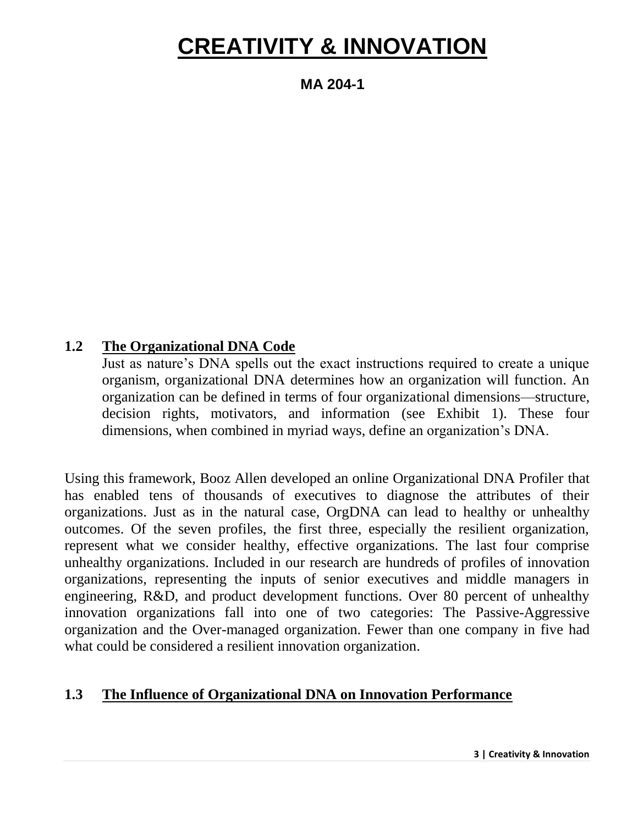**MA 204-1**

#### **1.2 The Organizational DNA Code**

Just as nature's DNA spells out the exact instructions required to create a unique organism, organizational DNA determines how an organization will function. An organization can be defined in terms of four organizational dimensions—structure, decision rights, motivators, and information (see Exhibit 1). These four dimensions, when combined in myriad ways, define an organization's DNA.

Using this framework, Booz Allen developed an online Organizational DNA Profiler that has enabled tens of thousands of executives to diagnose the attributes of their organizations. Just as in the natural case, OrgDNA can lead to healthy or unhealthy outcomes. Of the seven profiles, the first three, especially the resilient organization, represent what we consider healthy, effective organizations. The last four comprise unhealthy organizations. Included in our research are hundreds of profiles of innovation organizations, representing the inputs of senior executives and middle managers in engineering, R&D, and product development functions. Over 80 percent of unhealthy innovation organizations fall into one of two categories: The Passive-Aggressive organization and the Over-managed organization. Fewer than one company in five had what could be considered a resilient innovation organization.

#### **1.3 The Influence of Organizational DNA on Innovation Performance**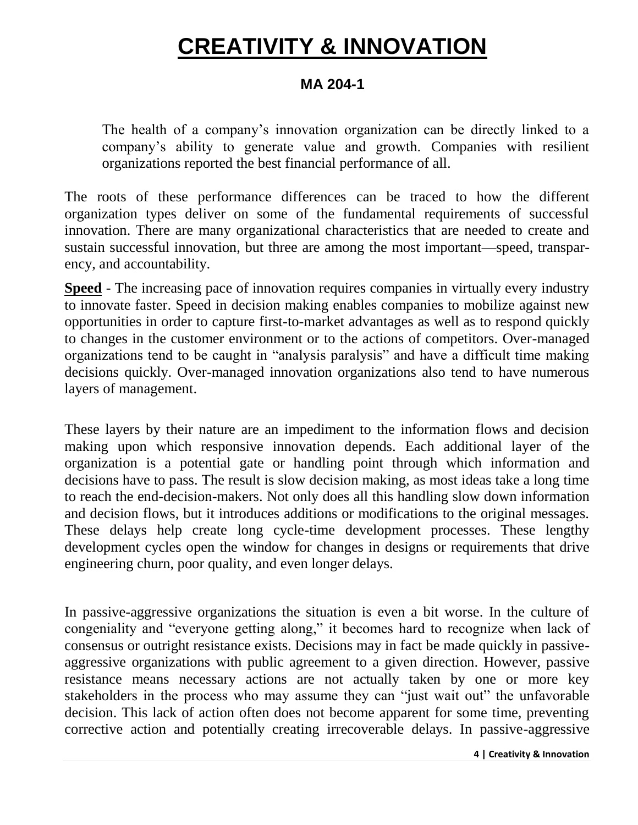### **MA 204-1**

The health of a company's innovation organization can be directly linked to a company's ability to generate value and growth. Companies with resilient organizations reported the best financial performance of all.

The roots of these performance differences can be traced to how the different organization types deliver on some of the fundamental requirements of successful innovation. There are many organizational characteristics that are needed to create and sustain successful innovation, but three are among the most important—speed, transparency, and accountability.

**Speed** - The increasing pace of innovation requires companies in virtually every industry to innovate faster. Speed in decision making enables companies to mobilize against new opportunities in order to capture first-to-market advantages as well as to respond quickly to changes in the customer environment or to the actions of competitors. Over-managed organizations tend to be caught in "analysis paralysis" and have a difficult time making decisions quickly. Over-managed innovation organizations also tend to have numerous layers of management.

These layers by their nature are an impediment to the information flows and decision making upon which responsive innovation depends. Each additional layer of the organization is a potential gate or handling point through which information and decisions have to pass. The result is slow decision making, as most ideas take a long time to reach the end-decision-makers. Not only does all this handling slow down information and decision flows, but it introduces additions or modifications to the original messages. These delays help create long cycle-time development processes. These lengthy development cycles open the window for changes in designs or requirements that drive engineering churn, poor quality, and even longer delays.

In passive-aggressive organizations the situation is even a bit worse. In the culture of congeniality and "everyone getting along," it becomes hard to recognize when lack of consensus or outright resistance exists. Decisions may in fact be made quickly in passiveaggressive organizations with public agreement to a given direction. However, passive resistance means necessary actions are not actually taken by one or more key stakeholders in the process who may assume they can "just wait out" the unfavorable decision. This lack of action often does not become apparent for some time, preventing corrective action and potentially creating irrecoverable delays. In passive-aggressive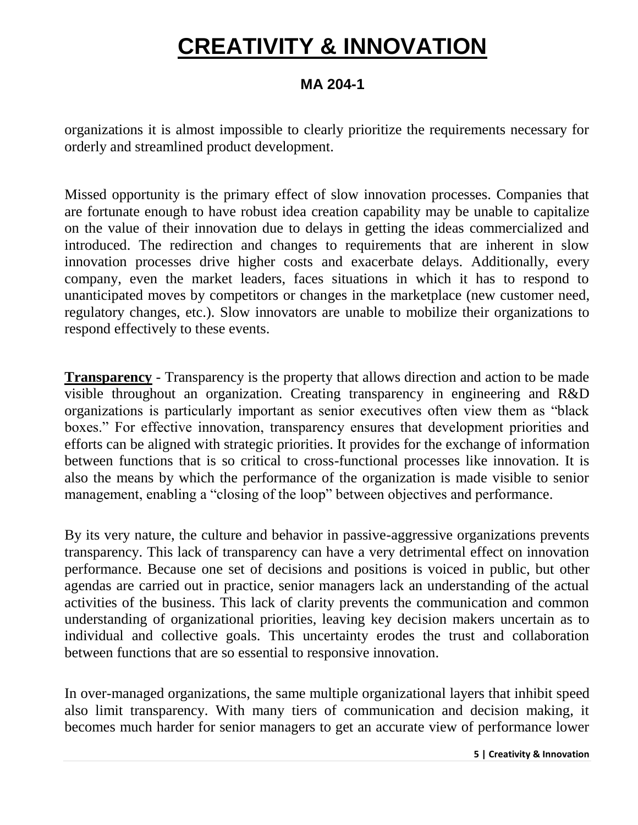#### **MA 204-1**

organizations it is almost impossible to clearly prioritize the requirements necessary for orderly and streamlined product development.

Missed opportunity is the primary effect of slow innovation processes. Companies that are fortunate enough to have robust idea creation capability may be unable to capitalize on the value of their innovation due to delays in getting the ideas commercialized and introduced. The redirection and changes to requirements that are inherent in slow innovation processes drive higher costs and exacerbate delays. Additionally, every company, even the market leaders, faces situations in which it has to respond to unanticipated moves by competitors or changes in the marketplace (new customer need, regulatory changes, etc.). Slow innovators are unable to mobilize their organizations to respond effectively to these events.

**Transparency** - Transparency is the property that allows direction and action to be made visible throughout an organization. Creating transparency in engineering and R&D organizations is particularly important as senior executives often view them as "black boxes." For effective innovation, transparency ensures that development priorities and efforts can be aligned with strategic priorities. It provides for the exchange of information between functions that is so critical to cross-functional processes like innovation. It is also the means by which the performance of the organization is made visible to senior management, enabling a "closing of the loop" between objectives and performance.

By its very nature, the culture and behavior in passive-aggressive organizations prevents transparency. This lack of transparency can have a very detrimental effect on innovation performance. Because one set of decisions and positions is voiced in public, but other agendas are carried out in practice, senior managers lack an understanding of the actual activities of the business. This lack of clarity prevents the communication and common understanding of organizational priorities, leaving key decision makers uncertain as to individual and collective goals. This uncertainty erodes the trust and collaboration between functions that are so essential to responsive innovation.

In over-managed organizations, the same multiple organizational layers that inhibit speed also limit transparency. With many tiers of communication and decision making, it becomes much harder for senior managers to get an accurate view of performance lower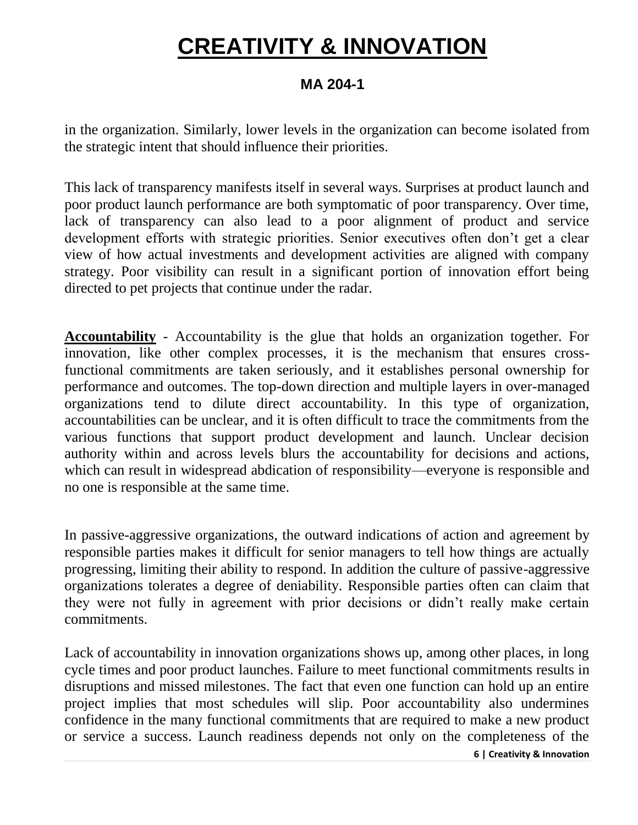### **MA 204-1**

in the organization. Similarly, lower levels in the organization can become isolated from the strategic intent that should influence their priorities.

This lack of transparency manifests itself in several ways. Surprises at product launch and poor product launch performance are both symptomatic of poor transparency. Over time, lack of transparency can also lead to a poor alignment of product and service development efforts with strategic priorities. Senior executives often don't get a clear view of how actual investments and development activities are aligned with company strategy. Poor visibility can result in a significant portion of innovation effort being directed to pet projects that continue under the radar.

**Accountability** - Accountability is the glue that holds an organization together. For innovation, like other complex processes, it is the mechanism that ensures crossfunctional commitments are taken seriously, and it establishes personal ownership for performance and outcomes. The top-down direction and multiple layers in over-managed organizations tend to dilute direct accountability. In this type of organization, accountabilities can be unclear, and it is often difficult to trace the commitments from the various functions that support product development and launch. Unclear decision authority within and across levels blurs the accountability for decisions and actions, which can result in widespread abdication of responsibility—everyone is responsible and no one is responsible at the same time.

In passive-aggressive organizations, the outward indications of action and agreement by responsible parties makes it difficult for senior managers to tell how things are actually progressing, limiting their ability to respond. In addition the culture of passive-aggressive organizations tolerates a degree of deniability. Responsible parties often can claim that they were not fully in agreement with prior decisions or didn't really make certain commitments.

Lack of accountability in innovation organizations shows up, among other places, in long cycle times and poor product launches. Failure to meet functional commitments results in disruptions and missed milestones. The fact that even one function can hold up an entire project implies that most schedules will slip. Poor accountability also undermines confidence in the many functional commitments that are required to make a new product or service a success. Launch readiness depends not only on the completeness of the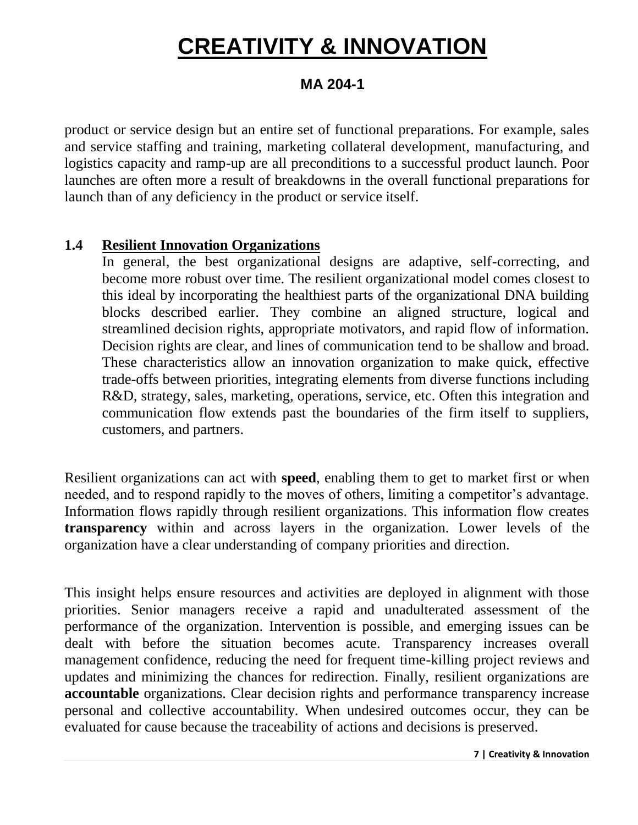#### **MA 204-1**

product or service design but an entire set of functional preparations. For example, sales and service staffing and training, marketing collateral development, manufacturing, and logistics capacity and ramp-up are all preconditions to a successful product launch. Poor launches are often more a result of breakdowns in the overall functional preparations for launch than of any deficiency in the product or service itself.

#### **1.4 Resilient Innovation Organizations**

In general, the best organizational designs are adaptive, self-correcting, and become more robust over time. The resilient organizational model comes closest to this ideal by incorporating the healthiest parts of the organizational DNA building blocks described earlier. They combine an aligned structure, logical and streamlined decision rights, appropriate motivators, and rapid flow of information. Decision rights are clear, and lines of communication tend to be shallow and broad. These characteristics allow an innovation organization to make quick, effective trade-offs between priorities, integrating elements from diverse functions including R&D, strategy, sales, marketing, operations, service, etc. Often this integration and communication flow extends past the boundaries of the firm itself to suppliers, customers, and partners.

Resilient organizations can act with **speed**, enabling them to get to market first or when needed, and to respond rapidly to the moves of others, limiting a competitor's advantage. Information flows rapidly through resilient organizations. This information flow creates **transparency** within and across layers in the organization. Lower levels of the organization have a clear understanding of company priorities and direction.

This insight helps ensure resources and activities are deployed in alignment with those priorities. Senior managers receive a rapid and unadulterated assessment of the performance of the organization. Intervention is possible, and emerging issues can be dealt with before the situation becomes acute. Transparency increases overall management confidence, reducing the need for frequent time-killing project reviews and updates and minimizing the chances for redirection. Finally, resilient organizations are **accountable** organizations. Clear decision rights and performance transparency increase personal and collective accountability. When undesired outcomes occur, they can be evaluated for cause because the traceability of actions and decisions is preserved.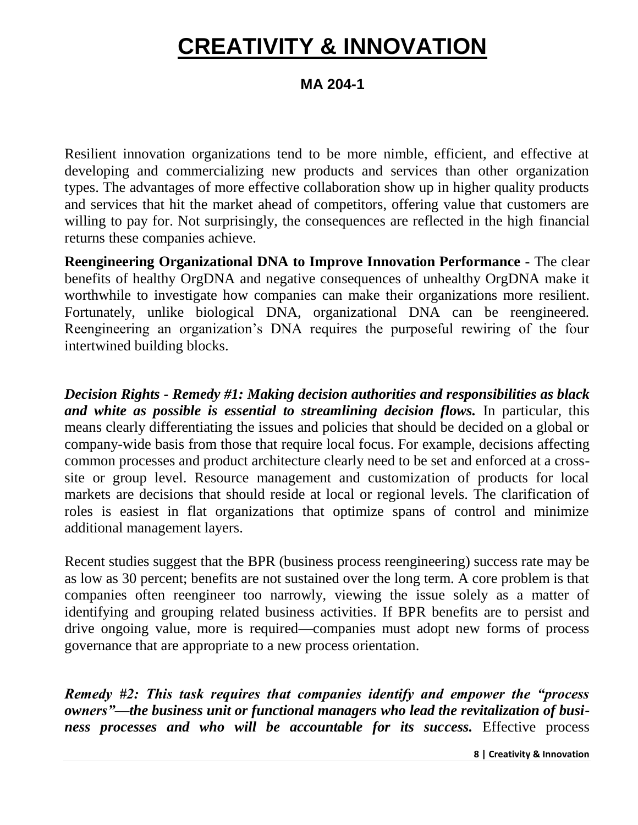#### **MA 204-1**

Resilient innovation organizations tend to be more nimble, efficient, and effective at developing and commercializing new products and services than other organization types. The advantages of more effective collaboration show up in higher quality products and services that hit the market ahead of competitors, offering value that customers are willing to pay for. Not surprisingly, the consequences are reflected in the high financial returns these companies achieve.

**Reengineering Organizational DNA to Improve Innovation Performance -** The clear benefits of healthy OrgDNA and negative consequences of unhealthy OrgDNA make it worthwhile to investigate how companies can make their organizations more resilient. Fortunately, unlike biological DNA, organizational DNA can be reengineered. Reengineering an organization's DNA requires the purposeful rewiring of the four intertwined building blocks.

*Decision Rights - Remedy #1: Making decision authorities and responsibilities as black and white as possible is essential to streamlining decision flows.* In particular, this means clearly differentiating the issues and policies that should be decided on a global or company-wide basis from those that require local focus. For example, decisions affecting common processes and product architecture clearly need to be set and enforced at a crosssite or group level. Resource management and customization of products for local markets are decisions that should reside at local or regional levels. The clarification of roles is easiest in flat organizations that optimize spans of control and minimize additional management layers.

Recent studies suggest that the BPR (business process reengineering) success rate may be as low as 30 percent; benefits are not sustained over the long term. A core problem is that companies often reengineer too narrowly, viewing the issue solely as a matter of identifying and grouping related business activities. If BPR benefits are to persist and drive ongoing value, more is required—companies must adopt new forms of process governance that are appropriate to a new process orientation.

*Remedy #2: This task requires that companies identify and empower the "process owners"—the business unit or functional managers who lead the revitalization of business processes and who will be accountable for its success.* Effective process

**8 | Creativity & Innovation**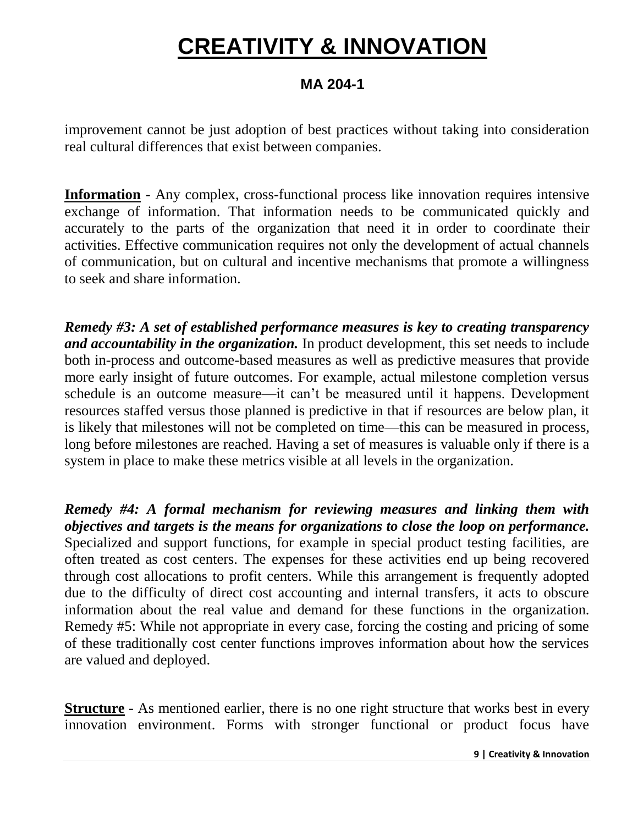### **MA 204-1**

improvement cannot be just adoption of best practices without taking into consideration real cultural differences that exist between companies.

**Information** - Any complex, cross-functional process like innovation requires intensive exchange of information. That information needs to be communicated quickly and accurately to the parts of the organization that need it in order to coordinate their activities. Effective communication requires not only the development of actual channels of communication, but on cultural and incentive mechanisms that promote a willingness to seek and share information.

*Remedy #3: A set of established performance measures is key to creating transparency and accountability in the organization.* In product development, this set needs to include both in-process and outcome-based measures as well as predictive measures that provide more early insight of future outcomes. For example, actual milestone completion versus schedule is an outcome measure—it can't be measured until it happens. Development resources staffed versus those planned is predictive in that if resources are below plan, it is likely that milestones will not be completed on time—this can be measured in process, long before milestones are reached. Having a set of measures is valuable only if there is a system in place to make these metrics visible at all levels in the organization.

*Remedy #4: A formal mechanism for reviewing measures and linking them with objectives and targets is the means for organizations to close the loop on performance.* Specialized and support functions, for example in special product testing facilities, are often treated as cost centers. The expenses for these activities end up being recovered through cost allocations to profit centers. While this arrangement is frequently adopted due to the difficulty of direct cost accounting and internal transfers, it acts to obscure information about the real value and demand for these functions in the organization. Remedy #5: While not appropriate in every case, forcing the costing and pricing of some of these traditionally cost center functions improves information about how the services are valued and deployed.

**Structure** - As mentioned earlier, there is no one right structure that works best in every innovation environment. Forms with stronger functional or product focus have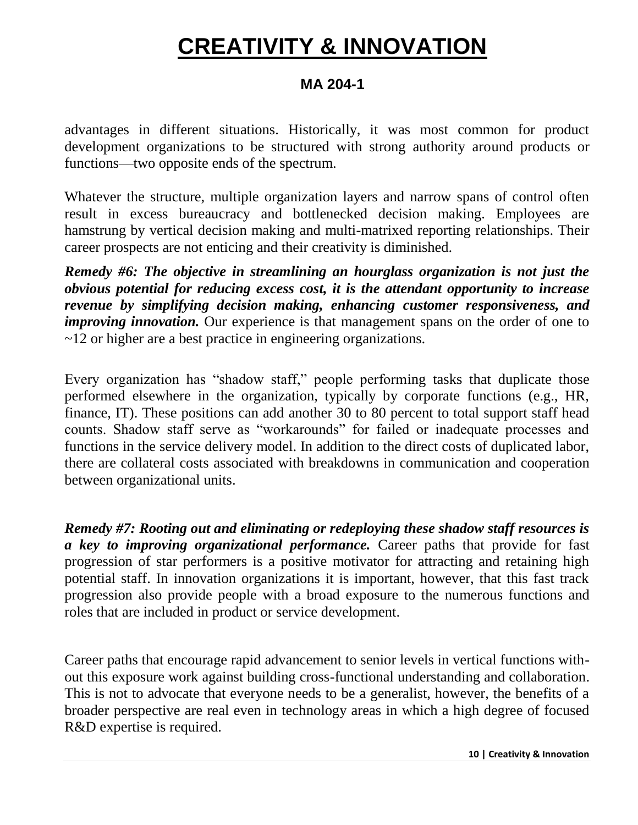### **MA 204-1**

advantages in different situations. Historically, it was most common for product development organizations to be structured with strong authority around products or functions—two opposite ends of the spectrum.

Whatever the structure, multiple organization layers and narrow spans of control often result in excess bureaucracy and bottlenecked decision making. Employees are hamstrung by vertical decision making and multi-matrixed reporting relationships. Their career prospects are not enticing and their creativity is diminished.

*Remedy #6: The objective in streamlining an hourglass organization is not just the obvious potential for reducing excess cost, it is the attendant opportunity to increase revenue by simplifying decision making, enhancing customer responsiveness, and improving innovation.* Our experience is that management spans on the order of one to ~12 or higher are a best practice in engineering organizations.

Every organization has "shadow staff," people performing tasks that duplicate those performed elsewhere in the organization, typically by corporate functions (e.g., HR, finance, IT). These positions can add another 30 to 80 percent to total support staff head counts. Shadow staff serve as "workarounds" for failed or inadequate processes and functions in the service delivery model. In addition to the direct costs of duplicated labor, there are collateral costs associated with breakdowns in communication and cooperation between organizational units.

*Remedy #7: Rooting out and eliminating or redeploying these shadow staff resources is a key to improving organizational performance.* Career paths that provide for fast progression of star performers is a positive motivator for attracting and retaining high potential staff. In innovation organizations it is important, however, that this fast track progression also provide people with a broad exposure to the numerous functions and roles that are included in product or service development.

Career paths that encourage rapid advancement to senior levels in vertical functions without this exposure work against building cross-functional understanding and collaboration. This is not to advocate that everyone needs to be a generalist, however, the benefits of a broader perspective are real even in technology areas in which a high degree of focused R&D expertise is required.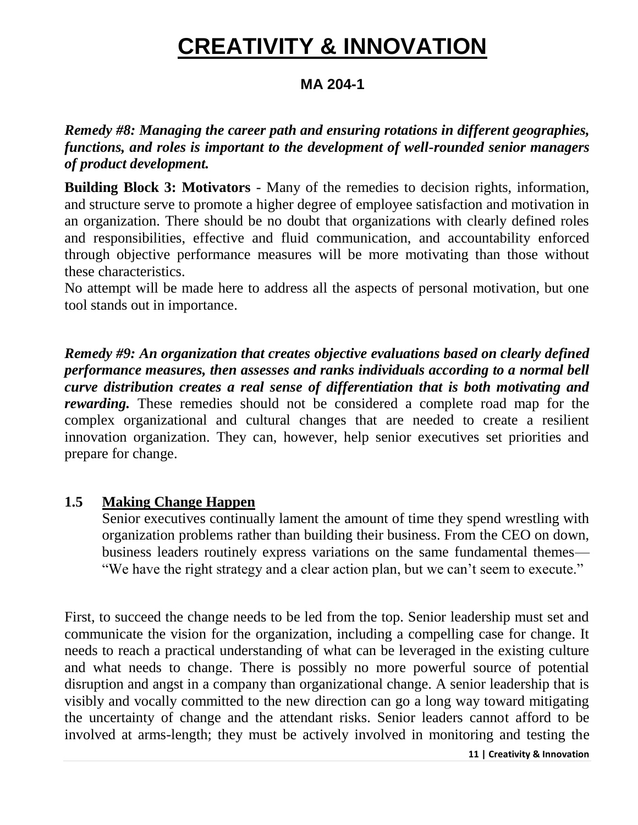### **MA 204-1**

*Remedy #8: Managing the career path and ensuring rotations in different geographies, functions, and roles is important to the development of well-rounded senior managers of product development.*

**Building Block 3: Motivators** - Many of the remedies to decision rights, information, and structure serve to promote a higher degree of employee satisfaction and motivation in an organization. There should be no doubt that organizations with clearly defined roles and responsibilities, effective and fluid communication, and accountability enforced through objective performance measures will be more motivating than those without these characteristics.

No attempt will be made here to address all the aspects of personal motivation, but one tool stands out in importance.

*Remedy #9: An organization that creates objective evaluations based on clearly defined performance measures, then assesses and ranks individuals according to a normal bell curve distribution creates a real sense of differentiation that is both motivating and rewarding.* These remedies should not be considered a complete road map for the complex organizational and cultural changes that are needed to create a resilient innovation organization. They can, however, help senior executives set priorities and prepare for change.

#### **1.5 Making Change Happen**

Senior executives continually lament the amount of time they spend wrestling with organization problems rather than building their business. From the CEO on down, business leaders routinely express variations on the same fundamental themes— "We have the right strategy and a clear action plan, but we can't seem to execute."

First, to succeed the change needs to be led from the top. Senior leadership must set and communicate the vision for the organization, including a compelling case for change. It needs to reach a practical understanding of what can be leveraged in the existing culture and what needs to change. There is possibly no more powerful source of potential disruption and angst in a company than organizational change. A senior leadership that is visibly and vocally committed to the new direction can go a long way toward mitigating the uncertainty of change and the attendant risks. Senior leaders cannot afford to be involved at arms-length; they must be actively involved in monitoring and testing the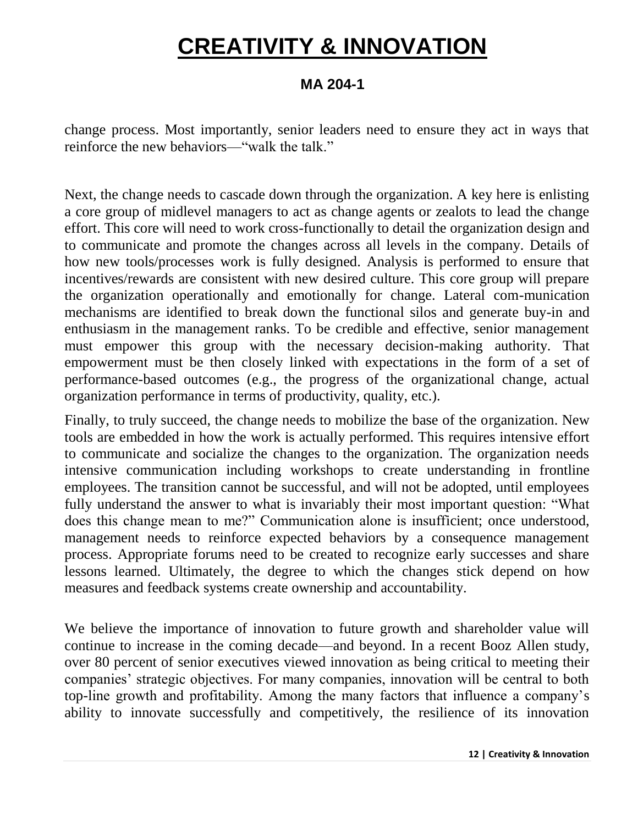### **MA 204-1**

change process. Most importantly, senior leaders need to ensure they act in ways that reinforce the new behaviors—"walk the talk."

Next, the change needs to cascade down through the organization. A key here is enlisting a core group of midlevel managers to act as change agents or zealots to lead the change effort. This core will need to work cross-functionally to detail the organization design and to communicate and promote the changes across all levels in the company. Details of how new tools/processes work is fully designed. Analysis is performed to ensure that incentives/rewards are consistent with new desired culture. This core group will prepare the organization operationally and emotionally for change. Lateral com-munication mechanisms are identified to break down the functional silos and generate buy-in and enthusiasm in the management ranks. To be credible and effective, senior management must empower this group with the necessary decision-making authority. That empowerment must be then closely linked with expectations in the form of a set of performance-based outcomes (e.g., the progress of the organizational change, actual organization performance in terms of productivity, quality, etc.).

Finally, to truly succeed, the change needs to mobilize the base of the organization. New tools are embedded in how the work is actually performed. This requires intensive effort to communicate and socialize the changes to the organization. The organization needs intensive communication including workshops to create understanding in frontline employees. The transition cannot be successful, and will not be adopted, until employees fully understand the answer to what is invariably their most important question: "What does this change mean to me?" Communication alone is insufficient; once understood, management needs to reinforce expected behaviors by a consequence management process. Appropriate forums need to be created to recognize early successes and share lessons learned. Ultimately, the degree to which the changes stick depend on how measures and feedback systems create ownership and accountability.

We believe the importance of innovation to future growth and shareholder value will continue to increase in the coming decade—and beyond. In a recent Booz Allen study, over 80 percent of senior executives viewed innovation as being critical to meeting their companies' strategic objectives. For many companies, innovation will be central to both top-line growth and profitability. Among the many factors that influence a company's ability to innovate successfully and competitively, the resilience of its innovation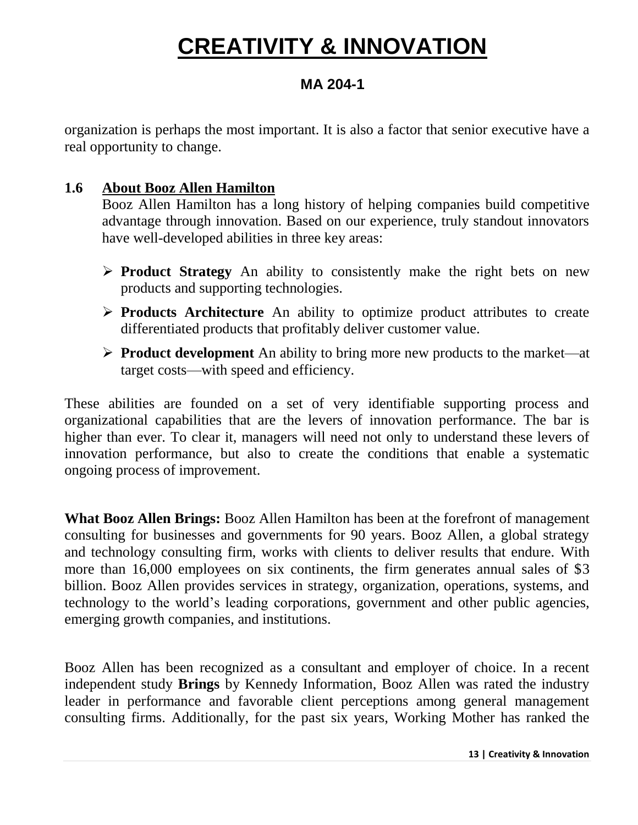### **MA 204-1**

organization is perhaps the most important. It is also a factor that senior executive have a real opportunity to change.

#### **1.6 About Booz Allen Hamilton**

Booz Allen Hamilton has a long history of helping companies build competitive advantage through innovation. Based on our experience, truly standout innovators have well-developed abilities in three key areas:

- **Product Strategy** An ability to consistently make the right bets on new products and supporting technologies.
- **Products Architecture** An ability to optimize product attributes to create differentiated products that profitably deliver customer value.
- **Product development** An ability to bring more new products to the market—at target costs—with speed and efficiency.

These abilities are founded on a set of very identifiable supporting process and organizational capabilities that are the levers of innovation performance. The bar is higher than ever. To clear it, managers will need not only to understand these levers of innovation performance, but also to create the conditions that enable a systematic ongoing process of improvement.

**What Booz Allen Brings:** Booz Allen Hamilton has been at the forefront of management consulting for businesses and governments for 90 years. Booz Allen, a global strategy and technology consulting firm, works with clients to deliver results that endure. With more than 16,000 employees on six continents, the firm generates annual sales of \$3 billion. Booz Allen provides services in strategy, organization, operations, systems, and technology to the world's leading corporations, government and other public agencies, emerging growth companies, and institutions.

Booz Allen has been recognized as a consultant and employer of choice. In a recent independent study **Brings** by Kennedy Information, Booz Allen was rated the industry leader in performance and favorable client perceptions among general management consulting firms. Additionally, for the past six years, Working Mother has ranked the